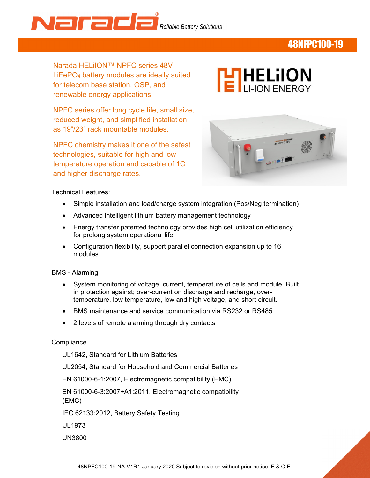

## 48NFPC100-19

Narada HELiION™ NPFC series 48V LiFePO4 battery modules are ideally suited for telecom base station, OSP, and renewable energy applications.

 reduced weight, and simplified installation NPFC series offer long cycle life, small size, as 19"/23" rack mountable modules.

NPFC chemistry makes it one of the safest technologies, suitable for high and low temperature operation and capable of 1C and higher discharge rates.





Technical Features:

- Simple installation and load/charge system integration (Pos/Neg termination)
- Advanced intelligent lithium battery management technology
- Energy transfer patented technology provides high cell utilization efficiency for prolong system operational life.
- Configuration flexibility, support parallel connection expansion up to 16 modules
- BMS Alarming
	- System monitoring of voltage, current, temperature of cells and module. Built in protection against; over-current on discharge and recharge, overtemperature, low temperature, low and high voltage, and short circuit.
	- BMS maintenance and service communication via RS232 or RS485
	- 2 levels of remote alarming through dry contacts

#### **Compliance**

UL1642, Standard for Lithium Batteries

UL2054, Standard for Household and Commercial Batteries

EN 61000-6-1:2007, Electromagnetic compatibility (EMC)

EN 61000-6-3:2007+A1:2011, Electromagnetic compatibility (EMC)

IEC 62133:2012, Battery Safety Testing

UL1973

UN3800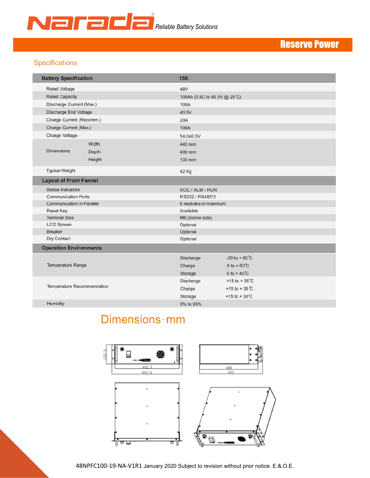

# Reserve Power

### Specifications

| <b>Battery Specification</b>     |              | <b>15S</b>                   |                           |  |  |  |  |  |  |
|----------------------------------|--------------|------------------------------|---------------------------|--|--|--|--|--|--|
| <b>Rated Voltage</b>             |              | 48V                          |                           |  |  |  |  |  |  |
| <b>Rated Capacity</b>            |              | 100Ah (0.5C to 40.5V @ 25°C) |                           |  |  |  |  |  |  |
| Discharge Current (Max.)         |              | 100A                         |                           |  |  |  |  |  |  |
| <b>Discharge End Voltage</b>     |              | 40.5V                        |                           |  |  |  |  |  |  |
| Charge Current (Recomm.)         |              | <b>20A</b>                   |                           |  |  |  |  |  |  |
| Charge Current (Max.)            |              | 100A                         |                           |  |  |  |  |  |  |
| <b>Charge Voltage</b>            |              | $54.0{\pm}0.5V$              |                           |  |  |  |  |  |  |
|                                  | Width        | 443 mm                       |                           |  |  |  |  |  |  |
| <b>Dimensions</b>                | <b>Depth</b> | 400 mm                       |                           |  |  |  |  |  |  |
|                                  | Height       | 133 mm                       |                           |  |  |  |  |  |  |
|                                  |              |                              |                           |  |  |  |  |  |  |
| <b>Typical Weight</b>            |              | <b>42 Kg</b>                 |                           |  |  |  |  |  |  |
| <b>Layout of Front Pannel</b>    |              |                              |                           |  |  |  |  |  |  |
| <b>Status Indicators</b>         |              | SOC / ALM / RUN              |                           |  |  |  |  |  |  |
| <b>Communication Ports</b>       |              | RS232 / RS485*2              |                           |  |  |  |  |  |  |
| <b>Communication in Parallel</b> |              | 8 modules in maximum         |                           |  |  |  |  |  |  |
| <b>Reset Key</b>                 |              | Available                    |                           |  |  |  |  |  |  |
| <b>Terminal Size</b>             |              | M8 (Screw size)              |                           |  |  |  |  |  |  |
| <b>LCD Screen</b>                |              | Optional                     |                           |  |  |  |  |  |  |
| <b>Breaker</b>                   |              | Optional                     |                           |  |  |  |  |  |  |
| <b>Dry Contact</b>               |              | Optional                     |                           |  |  |  |  |  |  |
| <b>Operation Environments</b>    |              |                              |                           |  |  |  |  |  |  |
|                                  |              | <b>Discharge</b>             | $-20$ to +60 $^{\circ}$ C |  |  |  |  |  |  |
| <b>Temperature Range</b>         |              | Charge                       | 0 to + $60^{\circ}$ C     |  |  |  |  |  |  |
|                                  |              | Storage                      | 0 to +40 $C$              |  |  |  |  |  |  |
|                                  |              | <b>Discharge</b>             | +15 to +35 $^{\circ}$ C   |  |  |  |  |  |  |
| Temperature Recommendation       |              | Charge                       | +15 to + 35 $\degree$ C   |  |  |  |  |  |  |
|                                  |              | Storage                      | +15 to + $30^{\circ}$ C   |  |  |  |  |  |  |
| <b>Humidity</b>                  |              | 5% to 95%                    |                           |  |  |  |  |  |  |
|                                  |              |                              |                           |  |  |  |  |  |  |

# Dimensions-mm